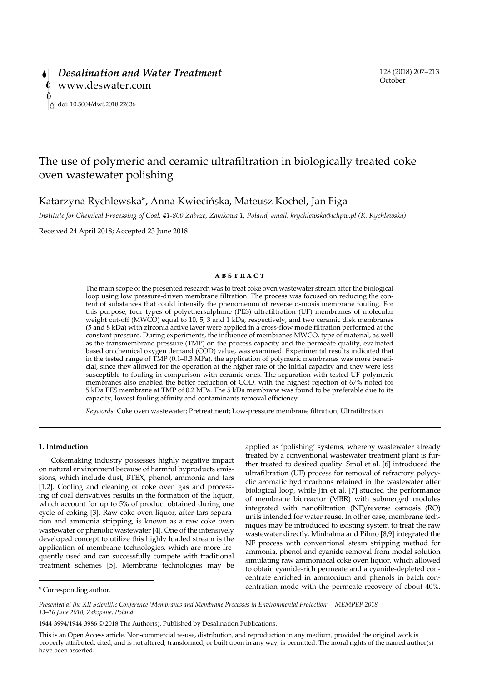# The use of polymeric and ceramic ultrafiltration in biologically treated coke oven wastewater polishing

Katarzyna Rychlewska\*, Anna Kwiecińska, Mateusz Kochel, Jan Figa

*Institute for Chemical Processing of Coal, 41-800 Zabrze, Zamkowa 1, Poland, email: krychlewska@ichpw.pl (K. Rychlewska)*

Received 24 April 2018; Accepted 23 June 2018

#### **ABSTRACT**

The main scope of the presented research was to treat coke oven wastewater stream after the biological loop using low pressure-driven membrane filtration. The process was focused on reducing the content of substances that could intensify the phenomenon of reverse osmosis membrane fouling. For this purpose, four types of polyethersulphone (PES) ultrafiltration (UF) membranes of molecular weight cut-off (MWCO) equal to 10, 5, 3 and 1 kDa, respectively, and two ceramic disk membranes (5 and 8 kDa) with zirconia active layer were applied in a cross-flow mode filtration performed at the constant pressure. During experiments, the influence of membranes MWCO, type of material, as well as the transmembrane pressure (TMP) on the process capacity and the permeate quality, evaluated based on chemical oxygen demand (COD) value, was examined. Experimental results indicated that in the tested range of TMP (0.1–0.3 MPa), the application of polymeric membranes was more beneficial, since they allowed for the operation at the higher rate of the initial capacity and they were less susceptible to fouling in comparison with ceramic ones. The separation with tested UF polymeric membranes also enabled the better reduction of COD, with the highest rejection of 67% noted for 5 kDa PES membrane at TMP of 0.2 MPa. The 5 kDa membrane was found to be preferable due to its capacity, lowest fouling affinity and contaminants removal efficiency.

*Keywords:* Coke oven wastewater; Pretreatment; Low-pressure membrane filtration; Ultrafiltration

# **1. Introduction**

Cokemaking industry possesses highly negative impact on natural environment because of harmful byproducts emissions, which include dust, BTEX, phenol, ammonia and tars [1,2]. Cooling and cleaning of coke oven gas and processing of coal derivatives results in the formation of the liquor, which account for up to 5% of product obtained during one cycle of coking [3]. Raw coke oven liquor, after tars separation and ammonia stripping, is known as a raw coke oven wastewater or phenolic wastewater [4]. One of the intensively developed concept to utilize this highly loaded stream is the application of membrane technologies, which are more frequently used and can successfully compete with traditional treatment schemes [5]. Membrane technologies may be applied as 'polishing' systems, whereby wastewater already treated by a conventional wastewater treatment plant is further treated to desired quality. Smol et al. [6] introduced the ultrafiltration (UF) process for removal of refractory polycyclic aromatic hydrocarbons retained in the wastewater after biological loop, while Jin et al. [7] studied the performance of membrane bioreactor (MBR) with submerged modules integrated with nanofiltration (NF)/reverse osmosis (RO) units intended for water reuse. In other case, membrane techniques may be introduced to existing system to treat the raw wastewater directly. Minhalma and Pihno [8,9] integrated the NF process with conventional steam stripping method for ammonia, phenol and cyanide removal from model solution simulating raw ammoniacal coke oven liquor, which allowed to obtain cyanide-rich permeate and a cyanide-depleted concentrate enriched in ammonium and phenols in batch concentration mode with the permeate recovery of about 40%.

This is an Open Access article. Non-commercial re-use, distribution, and reproduction in any medium, provided the original work is properly attributed, cited, and is not altered, transformed, or built upon in any way, is permitted. The moral rights of the named author(s) have been asserted.

<sup>\*</sup> Corresponding author.

*Presented at the XII Scientific Conference 'Membranes and Membrane Processes in Environmental Protection' – MEMPEP 2018 13–16 June 2018, Zakopane, Poland.*

<sup>1944-3994/1944-3986 ©</sup> 2018 The Author(s). Published by Desalination Publications.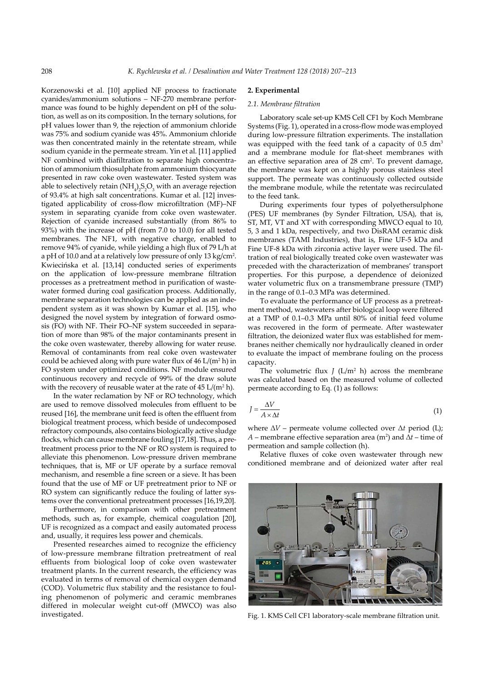Korzenowski et al. [10] applied NF process to fractionate cyanides/ammonium solutions – NF-270 membrane performance was found to be highly dependent on pH of the solution, as well as on its composition. In the ternary solutions, for pH values lower than 9, the rejection of ammonium chloride was 75% and sodium cyanide was 45%. Ammonium chloride was then concentrated mainly in the retentate stream, while sodium cyanide in the permeate stream. Yin et al. [11] applied NF combined with diafiltration to separate high concentration of ammonium thiosulphate from ammonium thiocyanate presented in raw coke oven wastewater. Tested system was able to selectively retain (NH<sub>4</sub>)<sub>2</sub>S<sub>2</sub>O<sub>3</sub> with an average rejection of 93.4% at high salt concentrations. Kumar et al. [12] investigated applicability of cross-flow microfiltration (MF)–NF system in separating cyanide from coke oven wastewater. Rejection of cyanide increased substantially (from 86% to 93%) with the increase of pH (from 7.0 to 10.0) for all tested membranes. The NF1, with negative charge, enabled to remove 94% of cyanide, while yielding a high flux of 79 L/h at a pH of 10.0 and at a relatively low pressure of only 13 kg/cm<sup>2</sup>. Kwiecińska et al. [13,14] conducted series of experiments on the application of low-pressure membrane filtration processes as a pretreatment method in purification of wastewater formed during coal gasification process. Additionally, membrane separation technologies can be applied as an independent system as it was shown by Kumar et al. [15], who designed the novel system by integration of forward osmosis (FO) with NF. Their FO–NF system succeeded in separation of more than 98% of the major contaminants present in the coke oven wastewater, thereby allowing for water reuse. Removal of contaminants from real coke oven wastewater could be achieved along with pure water flux of  $46$  L/(m<sup>2</sup> h) in FO system under optimized conditions. NF module ensured continuous recovery and recycle of 99% of the draw solute with the recovery of reusable water at the rate of  $45 \text{ L/(m}^2 \text{ h})$ .

In the water reclamation by NF or RO technology, which are used to remove dissolved molecules from effluent to be reused [16], the membrane unit feed is often the effluent from biological treatment process, which beside of undecomposed refractory compounds, also contains biologically active sludge flocks, which can cause membrane fouling [17,18]. Thus, a pretreatment process prior to the NF or RO system is required to alleviate this phenomenon. Low-pressure driven membrane techniques, that is, MF or UF operate by a surface removal mechanism, and resemble a fine screen or a sieve. It has been found that the use of MF or UF pretreatment prior to NF or RO system can significantly reduce the fouling of latter systems over the conventional pretreatment processes [16,19,20].

Furthermore, in comparison with other pretreatment methods, such as, for example, chemical coagulation [20], UF is recognized as a compact and easily automated process and, usually, it requires less power and chemicals.

Presented researches aimed to recognize the efficiency of low-pressure membrane filtration pretreatment of real effluents from biological loop of coke oven wastewater treatment plants. In the current research, the efficiency was evaluated in terms of removal of chemical oxygen demand (COD). Volumetric flux stability and the resistance to fouling phenomenon of polymeric and ceramic membranes differed in molecular weight cut-off (MWCO) was also investigated.

## **2. Experimental**

# *2.1. Membrane filtration*

Laboratory scale set-up KMS Cell CF1 by Koch Membrane Systems (Fig. 1), operated in a cross-flow mode was employed during low-pressure filtration experiments. The installation was equipped with the feed tank of a capacity of 0.5 dm<sup>3</sup> and a membrane module for flat-sheet membranes with an effective separation area of 28 cm<sup>2</sup>. To prevent damage, the membrane was kept on a highly porous stainless steel support. The permeate was continuously collected outside the membrane module, while the retentate was recirculated to the feed tank.

During experiments four types of polyethersulphone (PES) UF membranes (by Synder Filtration, USA), that is, ST, MT, VT and XT with corresponding MWCO equal to 10, 5, 3 and 1 kDa, respectively, and two DisRAM ceramic disk membranes (TAMI Industries), that is, Fine UF-5 kDa and Fine UF-8 kDa with zirconia active layer were used. The filtration of real biologically treated coke oven wastewater was preceded with the characterization of membranes' transport properties. For this purpose, a dependence of deionized water volumetric flux on a transmembrane pressure (TMP) in the range of 0.1–0.3 MPa was determined.

To evaluate the performance of UF process as a pretreatment method, wastewaters after biological loop were filtered at a TMP of 0.1–0.3 MPa until 80% of initial feed volume was recovered in the form of permeate. After wastewater filtration, the deionized water flux was established for membranes neither chemically nor hydraulically cleaned in order to evaluate the impact of membrane fouling on the process capacity.

The volumetric flux  $J$  ( $L/m<sup>2</sup>$  h) across the membrane was calculated based on the measured volume of collected permeate according to Eq. (1) as follows:

$$
J = \frac{\Delta V}{A \times \Delta t} \tag{1}
$$

where ∆*V* – permeate volume collected over Δ*t* period (L); *A* – membrane effective separation area (m<sup>2</sup>) and  $\Delta t$  – time of permeation and sample collection (h).

Relative fluxes of coke oven wastewater through new conditioned membrane and of deionized water after real



Fig. 1. KMS Cell CF1 laboratory-scale membrane filtration unit.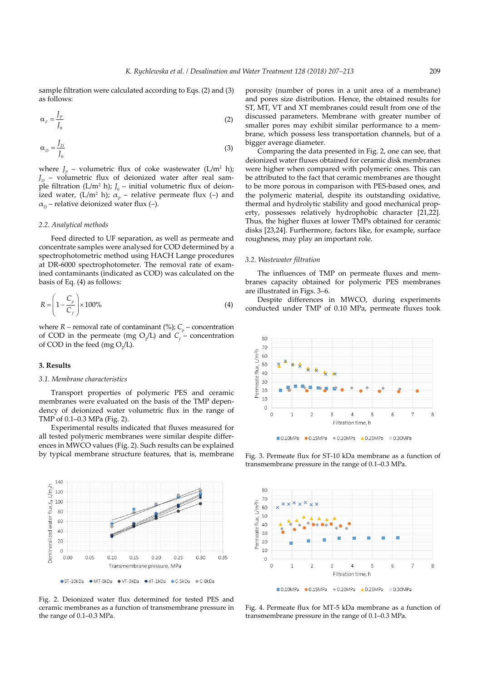sample filtration were calculated according to Eqs. (2) and (3) as follows:

$$
\alpha_{F} = \frac{J_{P}}{J_{0}}
$$
 (2)

$$
\alpha_D = \frac{J_D}{J_0} \tag{3}
$$

where  $J_p$  – volumetric flux of coke wastewater (L/m<sup>2</sup> h);  $J<sub>D</sub>$  – volumetric flux of deionized water after real sample filtration ( $L/m^2$  h);  $J_0$  – initial volumetric flux of deionized water, (L/m<sup>2</sup> h);  $\alpha_p$  – relative permeate flux (–) and  $\alpha_p$  – relative deionized water flux (–).

## *2.2. Analytical methods*

Feed directed to UF separation, as well as permeate and concentrate samples were analysed for COD determined by a spectrophotometric method using HACH Lange procedures at DR-6000 spectrophotometer. The removal rate of examined contaminants (indicated as COD) was calculated on the basis of Eq. (4) as follows:

$$
R = \left(1 - \frac{C_p}{C_f}\right) \times 100\%
$$
\n
$$
\tag{4}
$$

where  $R$  – removal rate of contaminant (%);  $C_p$  – concentration of COD in the permeate (mg  $O_2/L$ ) and  $C_f$  – concentration of COD in the feed (mg  $O_2/L$ ).

## **3. Results**

#### *3.1. Membrane characteristics*

Transport properties of polymeric PES and ceramic membranes were evaluated on the basis of the TMP dependency of deionized water volumetric flux in the range of TMP of 0.1–0.3 MPa (Fig. 2).

Experimental results indicated that fluxes measured for all tested polymeric membranes were similar despite differences in MWCO values (Fig. 2). Such results can be explained by typical membrane structure features, that is, membrane



Fig. 2. Deionized water flux determined for tested PES and ceramic membranes as a function of transmembrane pressure in the range of 0.1–0.3 MPa.

porosity (number of pores in a unit area of a membrane) and pores size distribution. Hence, the obtained results for ST, MT, VT and XT membranes could result from one of the discussed parameters. Membrane with greater number of smaller pores may exhibit similar performance to a membrane, which possess less transportation channels, but of a bigger average diameter.

Comparing the data presented in Fig. 2, one can see, that deionized water fluxes obtained for ceramic disk membranes were higher when compared with polymeric ones. This can be attributed to the fact that ceramic membranes are thought to be more porous in comparison with PES-based ones, and the polymeric material, despite its outstanding oxidative, thermal and hydrolytic stability and good mechanical property, possesses relatively hydrophobic character [21,22]. Thus, the higher fluxes at lower TMPs obtained for ceramic disks [23,24]. Furthermore, factors like, for example, surface roughness, may play an important role.

## *3.2. Wastewater filtration*

The influences of TMP on permeate fluxes and membranes capacity obtained for polymeric PES membranes are illustrated in Figs. 3–6.

Despite differences in MWCO, during experiments conducted under TMP of 0.10 MPa, permeate fluxes took



■0.10MPa ●0.15MPa +0.20MPa ▲0.25MPa ×0.30MPa

Fig. 3. Permeate flux for ST-10 kDa membrane as a function of transmembrane pressure in the range of 0.1–0.3 MPa.



Fig. 4. Permeate flux for MT-5 kDa membrane as a function of transmembrane pressure in the range of 0.1–0.3 MPa.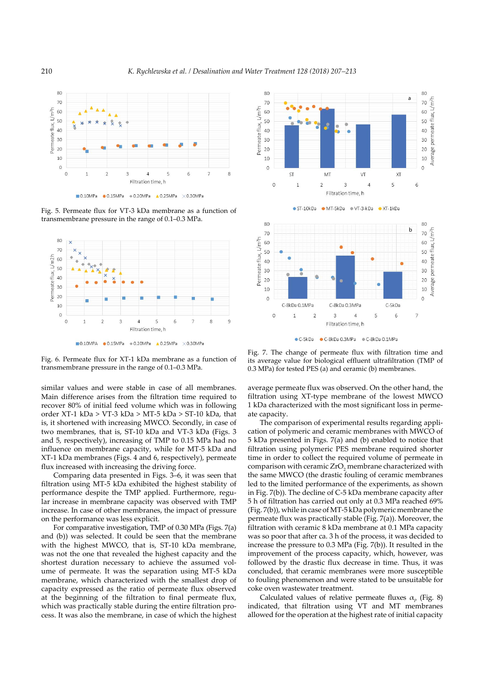

Fig. 5. Permeate flux for VT-3 kDa membrane as a function of transmembrane pressure in the range of 0.1–0.3 MPa.



Fig. 6. Permeate flux for XT-1 kDa membrane as a function of transmembrane pressure in the range of 0.1–0.3 MPa.

similar values and were stable in case of all membranes. Main difference arises from the filtration time required to recover 80% of initial feed volume which was in following order XT-1 kDa > VT-3 kDa > MT-5 kDa > ST-10 kDa, that is, it shortened with increasing MWCO. Secondly, in case of two membranes, that is, ST-10 kDa and VT-3 kDa (Figs. 3 and 5, respectively), increasing of TMP to 0.15 MPa had no influence on membrane capacity, while for MT-5 kDa and XT-1 kDa membranes (Figs. 4 and 6, respectively), permeate flux increased with increasing the driving force.

Comparing data presented in Figs. 3–6, it was seen that filtration using MT-5 kDa exhibited the highest stability of performance despite the TMP applied. Furthermore, regular increase in membrane capacity was observed with TMP increase. In case of other membranes, the impact of pressure on the performance was less explicit.

For comparative investigation, TMP of 0.30 MPa (Figs. 7(a) and (b)) was selected. It could be seen that the membrane with the highest MWCO, that is, ST-10 kDa membrane, was not the one that revealed the highest capacity and the shortest duration necessary to achieve the assumed volume of permeate. It was the separation using MT-5 kDa membrane, which characterized with the smallest drop of capacity expressed as the ratio of permeate flux observed at the beginning of the filtration to final permeate flux, which was practically stable during the entire filtration process. It was also the membrane, in case of which the highest



Fig. 7. The change of permeate flux with filtration time and its average value for biological effluent ultrafiltration (TMP of 0.3 MPa) for tested PES (a) and ceramic (b) membranes.

average permeate flux was observed. On the other hand, the filtration using XT-type membrane of the lowest MWCO 1 kDa characterized with the most significant loss in permeate capacity.

The comparison of experimental results regarding application of polymeric and ceramic membranes with MWCO of 5 kDa presented in Figs. 7(a) and (b) enabled to notice that filtration using polymeric PES membrane required shorter time in order to collect the required volume of permeate in comparison with ceramic  $ZrO_2$  membrane characterized with the same MWCO (the drastic fouling of ceramic membranes led to the limited performance of the experiments, as shown in Fig. 7(b)). The decline of C-5 kDa membrane capacity after 5 h of filtration has carried out only at 0.3 MPa reached 69% (Fig. 7(b)), while in case of MT-5 kDa polymeric membrane the permeate flux was practically stable (Fig. 7(a)). Moreover, the filtration with ceramic 8 kDa membrane at 0.1 MPa capacity was so poor that after ca. 3 h of the process, it was decided to increase the pressure to 0.3 MPa (Fig. 7(b)). It resulted in the improvement of the process capacity, which, however, was followed by the drastic flux decrease in time. Thus, it was concluded, that ceramic membranes were more susceptible to fouling phenomenon and were stated to be unsuitable for coke oven wastewater treatment.

Calculated values of relative permeate fluxes  $\alpha_p$  (Fig. 8) indicated, that filtration using VT and MT membranes allowed for the operation at the highest rate of initial capacity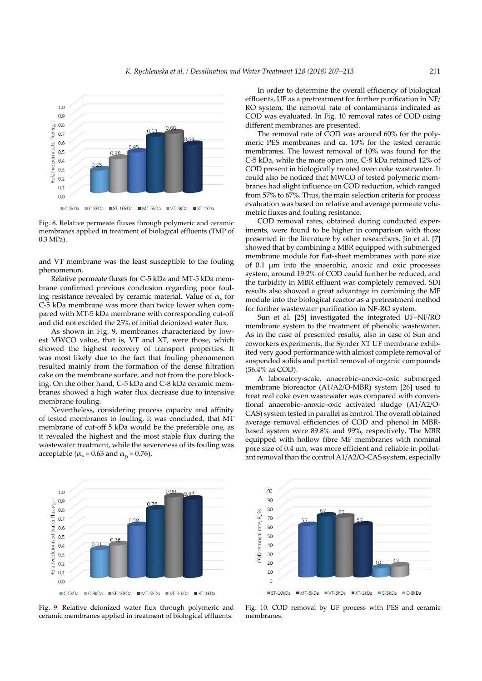

Fig. 8. Relative permeate fluxes through polymeric and ceramic membranes applied in treatment of biological effluents (TMP of 0.3 MPa).

and VT membrane was the least susceptible to the fouling phenomenon.

Relative permeate fluxes for C-5 kDa and MT-5 kDa membrane confirmed previous conclusion regarding poor fouling resistance revealed by ceramic material. Value of  $\alpha_p$  for C-5 kDa membrane was more than twice lower when compared with MT-5 kDa membrane with corresponding cut-off and did not excided the 25% of initial deionized water flux.

As shown in Fig. 9, membranes characterized by lowest MWCO value, that is, VT and XT, were those, which showed the highest recovery of transport properties. It was most likely due to the fact that fouling phenomenon resulted mainly from the formation of the dense filtration cake on the membrane surface, and not from the pore blocking. On the other hand, C-5 kDa and C-8 kDa ceramic membranes showed a high water flux decrease due to intensive membrane fouling.

Nevertheless, considering process capacity and affinity of tested membranes to fouling, it was concluded, that MT membrane of cut-off 5 kDa would be the preferable one, as it revealed the highest and the most stable flux during the wastewater treatment, while the severeness of its fouling was acceptable ( $\alpha_p$  = 0.63 and  $\alpha_p$  = 0.76).

In order to determine the overall efficiency of biological effluents, UF as a pretreatment for further purification in NF/ RO system, the removal rate of contaminants indicated as COD was evaluated. In Fig. 10 removal rates of COD using different membranes are presented.

The removal rate of COD was around 60% for the polymeric PES membranes and ca. 10% for the tested ceramic membranes. The lowest removal of 10% was found for the C-5 kDa, while the more open one, C-8 kDa retained 12% of COD present in biologically treated oven coke wastewater. It could also be noticed that MWCO of tested polymeric membranes had slight influence on COD reduction, which ranged from 57% to 67%. Thus, the main selection criteria for process evaluation was based on relative and average permeate volumetric fluxes and fouling resistance.

COD removal rates, obtained during conducted experiments, were found to be higher in comparison with those presented in the literature by other researchers. Jin et al. [7] showed that by combining a MBR equipped with submerged membrane module for flat-sheet membranes with pore size of 0.1 μm into the anaerobic, anoxic and oxic processes system, around 19.2% of COD could further be reduced, and the turbidity in MBR effluent was completely removed. SDI results also showed a great advantage in combining the MF module into the biological reactor as a pretreatment method for further wastewater purification in NF-RO system.

Sun et al. [25] investigated the integrated UF–NF/RO membrane system to the treatment of phenolic wastewater. As in the case of presented results, also in case of Sun and coworkers experiments, the Synder XT UF membrane exhibited very good performance with almost complete removal of suspended solids and partial removal of organic compounds (56.4% as COD).

A laboratory-scale, anaerobic–anoxic–oxic submerged membrane bioreactor (A1/A2/O-MBR) system [26] used to treat real coke oven wastewater was compared with conventional anaerobic–anoxic–oxic activated sludge (A1/A2/O-CAS) system tested in parallel as control. The overall obtained average removal efficiencies of COD and phenol in MBRbased system were 89.8% and 99%, respectively. The MBR equipped with hollow fibre MF membranes with nominal pore size of 0.4 μm, was more efficient and reliable in pollutant removal than the control A1/A2/O-CAS system, especially



Fig. 9. Relative deionized water flux through polymeric and ceramic membranes applied in treatment of biological effluents.



Fig. 10. COD removal by UF process with PES and ceramic membranes.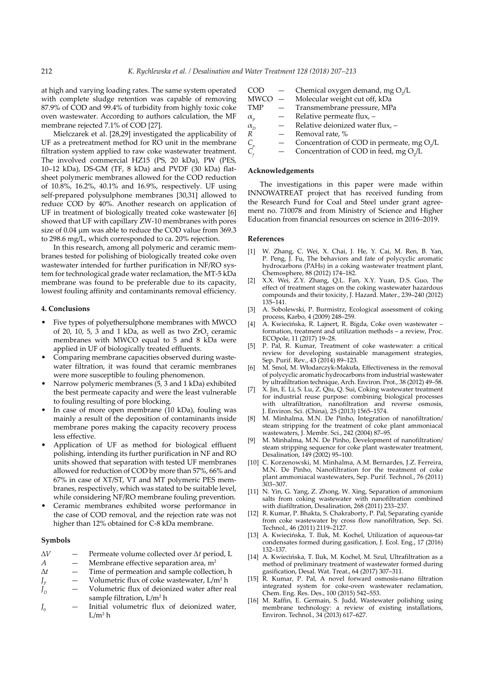at high and varying loading rates. The same system operated with complete sludge retention was capable of removing 87.9% of COD and 99.4% of turbidity from highly toxic coke oven wastewater. According to authors calculation, the MF membrane rejected 7.1% of COD [27].

Mielczarek et al. [28,29] investigated the applicability of UF as a pretreatment method for RO unit in the membrane filtration system applied to raw coke wastewater treatment. The involved commercial HZ15 (PS, 20 kDa), PW (PES, 10–12 kDa), DS-GM (TF, 8 kDa) and PVDF (30 kDa) flatsheet polymeric membranes allowed for the COD reduction of 10.8%, 16.2%, 40.1% and 16.9%, respectively. UF using self-prepared polysulphone membranes [30,31] allowed to reduce COD by 40%. Another research on application of UF in treatment of biologically treated coke wastewater [6] showed that UF with capillary ZW-10 membranes with pores size of 0.04 μm was able to reduce the COD value from 369.3 to 298.6 mg/L, which corresponded to ca. 20% rejection.

In this research, among all polymeric and ceramic membranes tested for polishing of biologically treated coke oven wastewater intended for further purification in NF/RO system for technological grade water reclamation, the MT-5 kDa membrane was found to be preferable due to its capacity, lowest fouling affinity and contaminants removal efficiency.

#### **4. Conclusions**

- Five types of polyethersulphone membranes with MWCO of 20, 10, 5, 3 and 1 kDa, as well as two  $ZrO<sub>2</sub>$  ceramic membranes with MWCO equal to 5 and 8 kDa were applied in UF of biologically treated effluents.
- Comparing membrane capacities observed during wastewater filtration, it was found that ceramic membranes were more susceptible to fouling phenomenon.
- Narrow polymeric membranes (5, 3 and 1 kDa) exhibited the best permeate capacity and were the least vulnerable to fouling resulting of pore blocking.
- In case of more open membrane (10 kDa), fouling was mainly a result of the deposition of contaminants inside membrane pores making the capacity recovery process less effective.
- Application of UF as method for biological effluent polishing, intending its further purification in NF and RO units showed that separation with tested UF membranes allowed for reduction of COD by more than 57%, 66% and 67% in case of XT/ST, VT and MT polymeric PES membranes, respectively, which was stated to be suitable level, while considering NF/RO membrane fouling prevention.
- Ceramic membranes exhibited worse performance in the case of COD removal, and the rejection rate was not higher than 12% obtained for C-8 kDa membrane.

## **Symbols**

- ∆*V* Permeate volume collected over Δ*t* period, L
- *A*  $-$  Membrane effective separation area,  $m<sup>2</sup>$
- ∆*t* Time of permeation and sample collection, h
- $J_p$  Volumetric flux of coke wastewater,  $L/m^2 h$
- $J_{\rm p}$ Volumetric flux of deionized water after real sample filtration, L/m<sup>2</sup> h
- *J* Initial volumetric flux of deionized water,  $L/m^2$  h

| COD.                            |     | Chemical oxygen demand, mg O <sub>1</sub> /L           |
|---------------------------------|-----|--------------------------------------------------------|
| <b>MWCO</b>                     |     | - Molecular weight cut off, kDa                        |
| <b>TMP</b>                      |     | Transmembrane pressure, MPa                            |
| $\alpha_{p}$                    |     | Relative permeate flux, -                              |
| $\alpha_{\scriptscriptstyle D}$ | $-$ | Relative deionized water flux, -                       |
| $\boldsymbol{R}$                |     | Removal rate, %                                        |
| $C_p$                           |     | Concentration of COD in permeate, mg O <sub>2</sub> /L |
|                                 |     | Concentration of COD in feed, mg O <sub>2</sub> /L     |
|                                 |     |                                                        |

### **Acknowledgements**

The investigations in this paper were made within INNOWATREAT project that has received funding from the Research Fund for Coal and Steel under grant agreement no. 710078 and from Ministry of Science and Higher Education from financial resources on science in 2016–2019.

#### **References**

- [1] W. Zhang, C. Wei, X. Chai, J. He, Y. Cai, M. Ren, B. Yan, P. Peng, J. Fu, The behaviors and fate of polycyclic aromatic hydrocarbons (PAHs) in a coking wastewater treatment plant, Chemosphere, 88 (2012) 174–182.
- [2] X.X. Wei, Z.Y. Zhang, Q.L. Fan, X.Y. Yuan, D.S. Guo, The effect of treatment stages on the coking wastewater hazardous compounds and their toxicity, J. Hazard. Mater., 239–240 (2012) 135–141.
- [3] A. Sobolewski, P. Burmistrz, Ecological assessment of coking process, Karbo, 4 (2009) 248–259.
- [4] A. Kwiecińska, R. Lajnert, R. Bigda, Coke oven wastewater formation, treatment and utilization methods – a review, Proc. ECOpole, 11 (2017) 19–28.
- [5] P. Pal, R. Kumar, Treatment of coke wastewater: a critical review for developing sustainable management strategies, Sep. Purif. Rev., 43 (2014) 89–123.
- [6] M. Smol, M. Włodarczyk-Makuła, Effectiveness in the removal of polycyclic aromatic hydrocarbons from industrial wastewater by ultrafiltration technique, Arch. Environ. Prot., 38 (2012) 49–58.
- [7] X. Jin, E. Li, S. Lu, Z. Qiu, Q. Sui, Coking wastewater treatment for industrial reuse purpose: combining biological processes with ultrafiltration, nanofiltration and reverse osmosis, J. Environ. Sci. (China), 25 (2013) 1565–1574.
- [8] M. Minhalma, M.N. De Pinho, Integration of nanofiltration/ steam stripping for the treatment of coke plant ammoniacal wastewaters, J. Membr. Sci., 242 (2004) 87–95.
- [9] M. Minhalma, M.N. De Pinho, Development of nanofiltration/ steam stripping sequence for coke plant wastewater treatment, Desalination, 149 (2002) 95–100.
- [10] C. Korzenowski, M. Minhalma, A.M. Bernardes, J.Z. Ferreira, M.N. De Pinho, Nanofiltration for the treatment of coke plant ammoniacal wastewaters, Sep. Purif. Technol., 76 (2011) 303–307.
- [11] N. Yin, G. Yang, Z. Zhong, W. Xing, Separation of ammonium salts from coking wastewater with nanofiltration combined with diafiltration, Desalination, 268 (2011) 233–237.
- [12] R. Kumar, P. Bhakta, S. Chakraborty, P. Pal, Separating cyanide from coke wastewater by cross flow nanofiltration, Sep. Sci. Technol., 46 (2011) 2119–2127.
- [13] A. Kwiecińska, T. Iluk, M. Kochel, Utilization of aqueous-tar condensates formed during gasification, J. Ecol. Eng., 17 (2016) 132–137.
- [14] A. Kwiecińska, T. Iluk, M. Kochel, M. Szul, Ultrafiltration as a method of preliminary treatment of wastewater formed during gasification, Desal. Wat. Treat., 64 (2017) 307–311.
- [15] R. Kumar, P. Pal, A novel forward osmosis-nano filtration integrated system for coke-oven wastewater reclamation, Chem. Eng. Res. Des., 100 (2015) 542–553.
- [16] M. Raffin, E. Germain, S. Judd, Wastewater polishing using membrane technology: a review of existing installations, Environ. Technol., 34 (2013) 617–627.